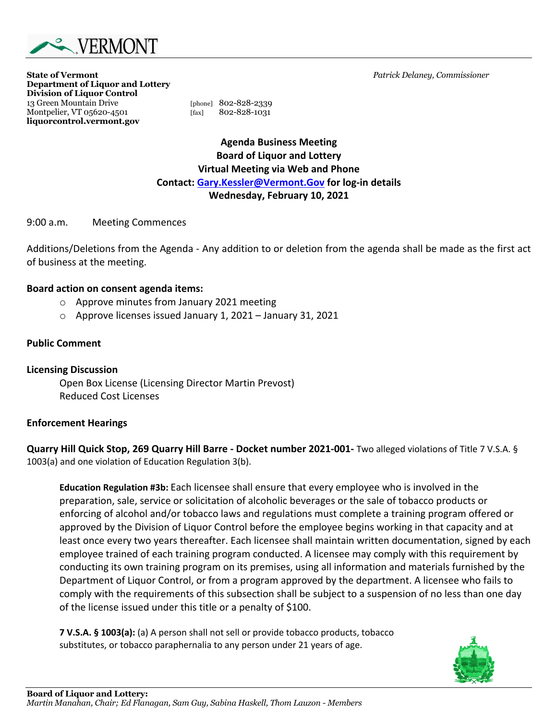

**State of Vermont** *Patrick Delaney, Commissioner* **Department of Liquor and Lottery Division of Liquor Control** 13 Green Mountain Drive [phone] 802-828-2339 Montpelier, VT 05620-4501 [fax] 802-828-1031 **liquorcontrol.vermont.gov**

**Agenda Business Meeting Board of Liquor and Lottery Virtual Meeting via Web and Phone Contact: Gary.Kessler@Vermont.Gov for log-in details Wednesday, February 10, 2021**

9:00 a.m. Meeting Commences

Additions/Deletions from the Agenda - Any addition to or deletion from the agenda shall be made as the first act of business at the meeting.

#### **Board action on consent agenda items:**

- o Approve minutes from January 2021 meeting
- o Approve licenses issued January 1, 2021 January 31, 2021

### **Public Comment**

**Licensing Discussion**  Open Box License (Licensing Director Martin Prevost) Reduced Cost Licenses

### **Enforcement Hearings**

**Quarry Hill Quick Stop, 269 Quarry Hill Barre - Docket number 2021-001-** Two alleged violations of Title 7 V.S.A. § 1003(a) and one violation of Education Regulation 3(b).

**Education Regulation #3b:** Each licensee shall ensure that every employee who is involved in the preparation, sale, service or solicitation of alcoholic beverages or the sale of tobacco products or enforcing of alcohol and/or tobacco laws and regulations must complete a training program offered or approved by the Division of Liquor Control before the employee begins working in that capacity and at least once every two years thereafter. Each licensee shall maintain written documentation, signed by each employee trained of each training program conducted. A licensee may comply with this requirement by conducting its own training program on its premises, using all information and materials furnished by the Department of Liquor Control, or from a program approved by the department. A licensee who fails to comply with the requirements of this subsection shall be subject to a suspension of no less than one day of the license issued under this title or a penalty of \$100.

**7 V.S.A. § 1003(a):** (a) A person shall not sell or provide tobacco products, tobacco substitutes, or tobacco paraphernalia to any person under 21 years of age.